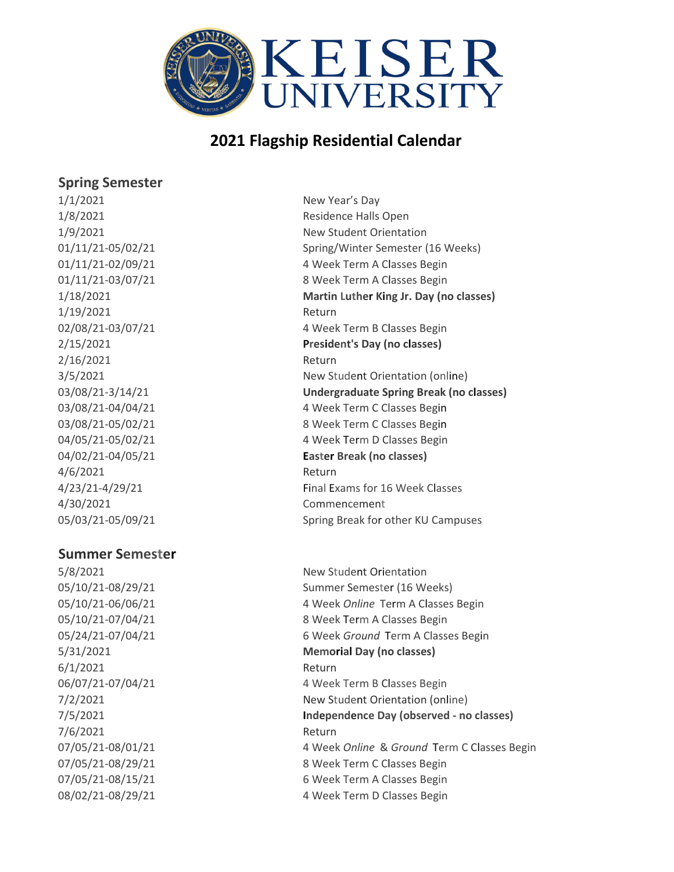

#### **Spring Semester**

1/1/2021 New Year's Day 1/19/2021 Return 2/16/2021 Return 4/6/2021 Return 4/30/2021 Commencement 05/03/21-05/09/21 Spring Break for other KU Campuses

#### **Summer Semester**

6/1/2021 Return 7/6/2021 Return

1/8/2021 Residence Halls Open 1/9/2021 New Student Orientation 01/11/21-05/02/21 Spring/Winter Semester (16 Weeks) 01/11/21-02/09/21 4 Week Term A Classes Begin 01/11/21-03/07/21 8 Week Term A Classes Begin 1/18/2021 **Martin Luther King Jr. Day (no classes)** 02/08/21-03/07/21 4 Week Term B Classes Begin 2/15/2021 **President's Day (no classes)** 3/5/2021 New Student Orientation (online) 03/08/21-3/14/21 **Undergraduate Spring Break (no classes)** 03/08/21-04/04/21 4 Week Term C Classes Begin 03/08/21-05/02/21 8 Week Term C Classes Begin 04/05/21-05/02/21 4 Week Term D Classes Begin 04/02/21-04/05/21 **Easter Break (no classes)** 4/23/21-4/29/21 Final Exams for 16 Week Classes

5/8/2021 New Student Orientation 05/10/21-08/29/21 Summer Semester (16 Weeks) 05/10/21-06/06/21 4 Week *Online* Term A Classes Begin 05/10/21-07/04/21 8 Week Term A Classes Begin 05/24/21-07/04/21 6 Week *Ground* Term A Classes Begin 5/31/2021 **Memorial Day (no classes)** 06/07/21-07/04/21 4 Week Term B Classes Begin 7/2/2021 New Student Orientation (online) 7/5/2021 **Independence Day (observed - no classes)** 07/05/21-08/01/21 4 Week *Online* & *Ground* Term C Classes Begin 07/05/21-08/29/21 8 Week Term C Classes Begin 07/05/21-08/15/21 6 Week Term A Classes Begin 08/02/21-08/29/21 4 Week Term D Classes Begin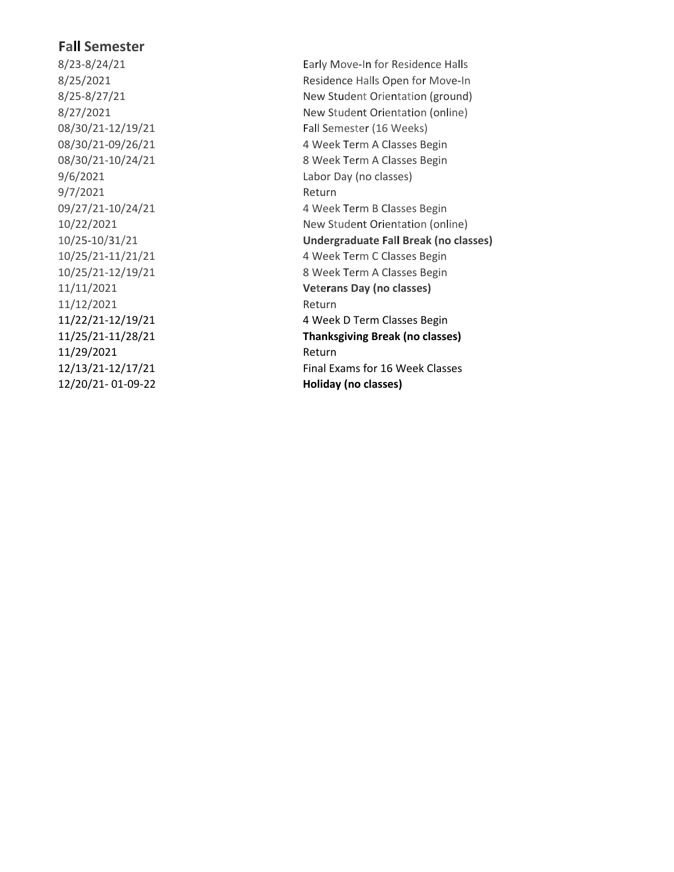8/23-8/24/21 8/25-8/27/21  $8/27/2021$ 08/30/21-12/19/21 08/30/21-09/26/21 08/30/21-10/24/21 9/7/2021 Return 09/27/21-10/24/21 10/22/2021 10/2 5 -10 / 3 1 10/2 5 / 2 1 -11 /21 10/25/21-12/19/21 11/11/2021 **Ve** 11/12/2021 Return 11/29/2021 Return **Fall Semester**<br>
8/23-8/24/21<br>
8/25/2021<br>
8/25/2021<br>
8/25-8/27/21<br>
8/27/2021<br>
8/27/2021<br>
908/30/21-12/19/21<br>
908/30/21-10/24/21<br>
Fall Semester (16 W<br>
08/30/21-10/24/21<br>
Fall Semester (16 W<br>
08/30/21-10/24/21<br>
4 Week Term A

Early Move-In for Residence Halls 8/25/2021 Residence Halls Open for Move-In udent Orientation (ground) tudent Orientation (online) Fall Semester (16 Weeks) T e rm A C lasses Begin T e rm A C lasses Begin 9/6/2021 Labor Day (no classes) T e rm B C lasses Begin tudent Orientation (online) /21 **Undergraduate F a ll Break (no classes)** /21 4 Week T e rm C C lasses Begin T e rm A C lasses Begin **t e rans Day (no classes)** 11/22/21-12/19/21 4 Week D Term Classes Begin 11/25/21-11/28/21 **Thanksgiving Break (no classes)** 12/13/21-12/17/21 Final Exams for 16 Week Classes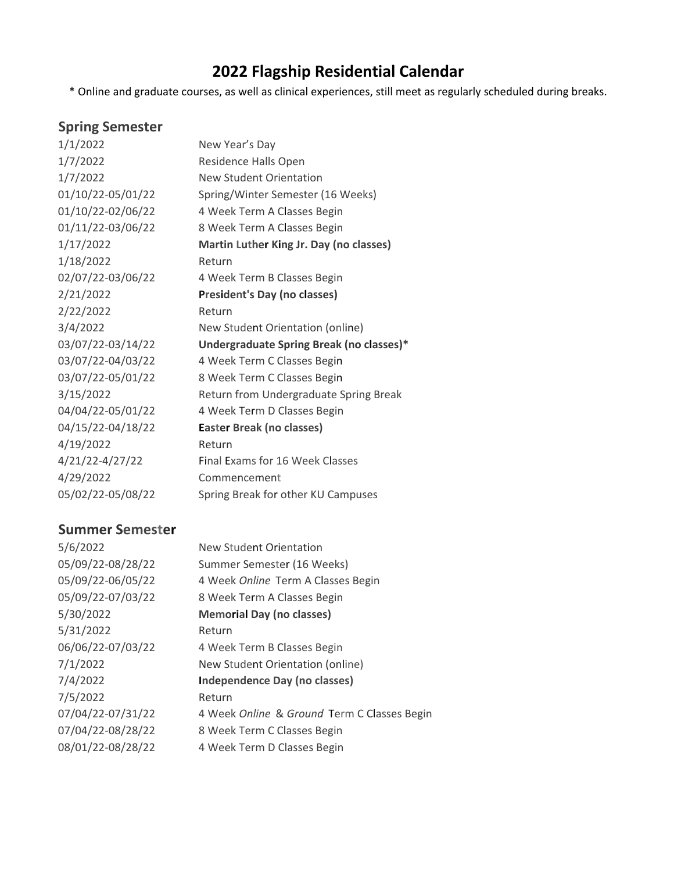\* Online and graduate courses, as well as clinical experiences, still meet as regularly scheduled during breaks.

# **Spring Semester**

| 1/1/2022          | New Year's Day                           |
|-------------------|------------------------------------------|
| 1/7/2022          | Residence Halls Open                     |
| 1/7/2022          | New Student Orientation                  |
| 01/10/22-05/01/22 | Spring/Winter Semester (16 Weeks)        |
| 01/10/22-02/06/22 | 4 Week Term A Classes Begin              |
| 01/11/22-03/06/22 | 8 Week Term A Classes Begin              |
| 1/17/2022         | Martin Luther King Jr. Day (no classes)  |
| 1/18/2022         | Return                                   |
| 02/07/22-03/06/22 | 4 Week Term B Classes Begin              |
| 2/21/2022         | <b>President's Day (no classes)</b>      |
| 2/22/2022         | Return                                   |
| 3/4/2022          | New Student Orientation (online)         |
| 03/07/22-03/14/22 | Undergraduate Spring Break (no classes)* |
| 03/07/22-04/03/22 | 4 Week Term C Classes Begin              |
| 03/07/22-05/01/22 | 8 Week Term C Classes Begin              |
| 3/15/2022         | Return from Undergraduate Spring Break   |
| 04/04/22-05/01/22 | 4 Week Term D Classes Begin              |
| 04/15/22-04/18/22 | Easter Break (no classes)                |
| 4/19/2022         | Return                                   |
| 4/21/22-4/27/22   | <b>Final Exams for 16 Week Classes</b>   |
| 4/29/2022         | Commencement                             |
| 05/02/22-05/08/22 | Spring Break for other KU Campuses       |

## **Summer Semester**

| 5/6/2022          | New Student Orientation                     |
|-------------------|---------------------------------------------|
| 05/09/22-08/28/22 | Summer Semester (16 Weeks)                  |
| 05/09/22-06/05/22 | 4 Week Online Term A Classes Begin          |
| 05/09/22-07/03/22 | 8 Week Term A Classes Begin                 |
| 5/30/2022         | <b>Memorial Day (no classes)</b>            |
| 5/31/2022         | Return                                      |
| 06/06/22-07/03/22 | 4 Week Term B Classes Begin                 |
| 7/1/2022          | New Student Orientation (online)            |
| 7/4/2022          | <b>Independence Day (no classes)</b>        |
| 7/5/2022          | Return                                      |
| 07/04/22-07/31/22 | 4 Week Online & Ground Term C Classes Begin |
| 07/04/22-08/28/22 | 8 Week Term C Classes Begin                 |
| 08/01/22-08/28/22 | 4 Week Term D Classes Begin                 |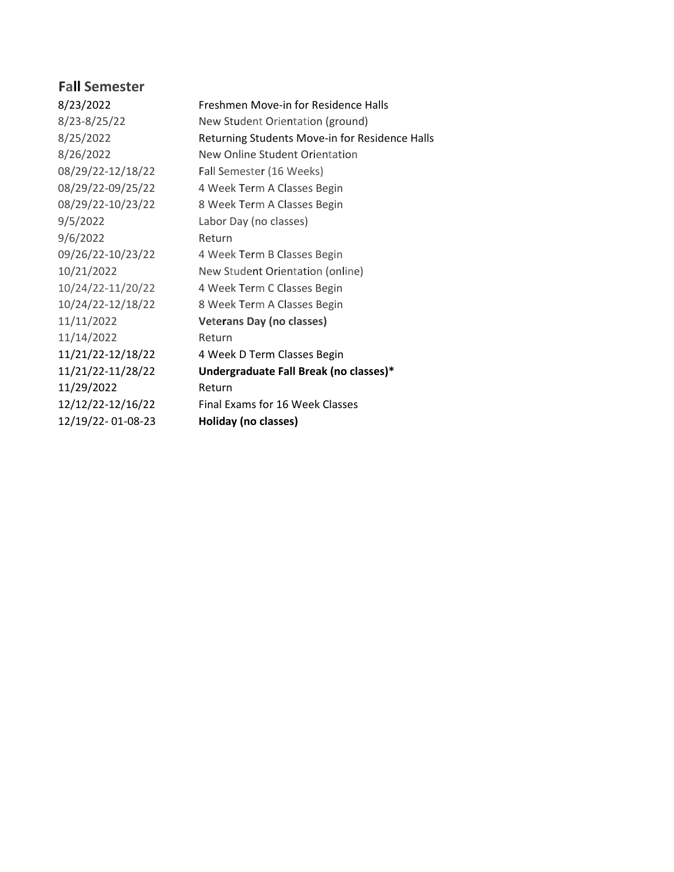| 8/23/2022         | Freshmen Move-in for Residence Halls           |
|-------------------|------------------------------------------------|
| 8/23-8/25/22      | New Student Orientation (ground)               |
| 8/25/2022         | Returning Students Move-in for Residence Halls |
| 8/26/2022         | New Online Student Orientation                 |
| 08/29/22-12/18/22 | Fall Semester (16 Weeks)                       |
| 08/29/22-09/25/22 | 4 Week Term A Classes Begin                    |
| 08/29/22-10/23/22 | 8 Week Term A Classes Begin                    |
| 9/5/2022          | Labor Day (no classes)                         |
| 9/6/2022          | Return                                         |
| 09/26/22-10/23/22 | 4 Week Term B Classes Begin                    |
| 10/21/2022        | New Student Orientation (online)               |
| 10/24/22-11/20/22 | 4 Week Term C Classes Begin                    |
| 10/24/22-12/18/22 | 8 Week Term A Classes Begin                    |
| 11/11/2022        | <b>Veterans Day (no classes)</b>               |
| 11/14/2022        | Return                                         |
| 11/21/22-12/18/22 | 4 Week D Term Classes Begin                    |
| 11/21/22-11/28/22 | Undergraduate Fall Break (no classes)*         |
| 11/29/2022        | Return                                         |
| 12/12/22-12/16/22 | Final Exams for 16 Week Classes                |
| 12/19/22-01-08-23 | Holiday (no classes)                           |
|                   |                                                |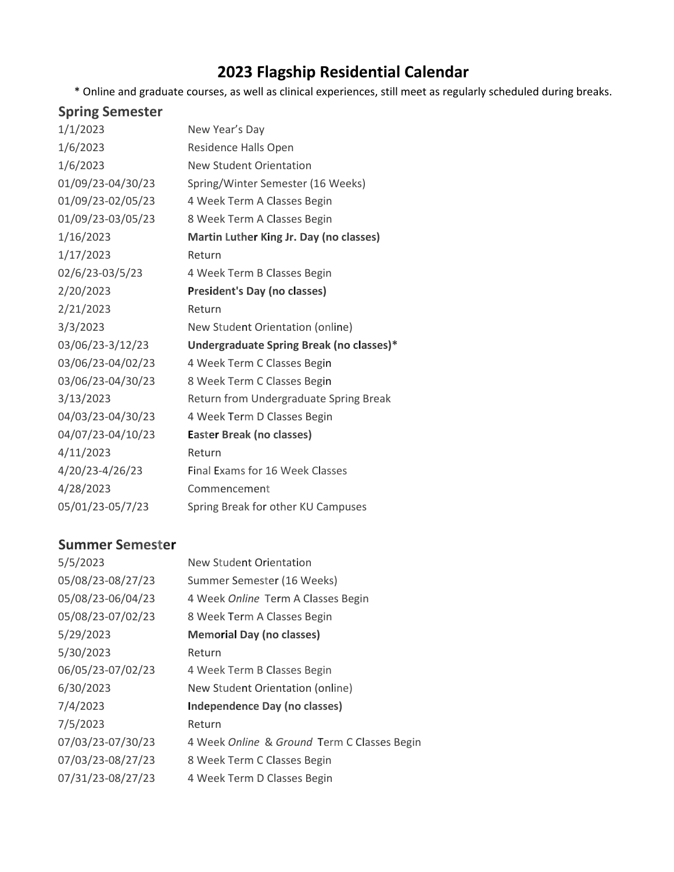\* Online and graduate courses, as well as clinical experiences, still meet as regularly scheduled during breaks.

# **Spring Semester**

| 1/1/2023          | New Year's Day                           |
|-------------------|------------------------------------------|
| 1/6/2023          | Residence Halls Open                     |
| 1/6/2023          | <b>New Student Orientation</b>           |
| 01/09/23-04/30/23 | Spring/Winter Semester (16 Weeks)        |
| 01/09/23-02/05/23 | 4 Week Term A Classes Begin              |
| 01/09/23-03/05/23 | 8 Week Term A Classes Begin              |
| 1/16/2023         | Martin Luther King Jr. Day (no classes)  |
| 1/17/2023         | Return                                   |
| 02/6/23-03/5/23   | 4 Week Term B Classes Begin              |
| 2/20/2023         | <b>President's Day (no classes)</b>      |
| 2/21/2023         | Return                                   |
| 3/3/2023          | New Student Orientation (online)         |
| 03/06/23-3/12/23  | Undergraduate Spring Break (no classes)* |
| 03/06/23-04/02/23 | 4 Week Term C Classes Begin              |
| 03/06/23-04/30/23 | 8 Week Term C Classes Begin              |
| 3/13/2023         | Return from Undergraduate Spring Break   |
| 04/03/23-04/30/23 | 4 Week Term D Classes Begin              |
| 04/07/23-04/10/23 | Easter Break (no classes)                |
| 4/11/2023         | Return                                   |
| 4/20/23-4/26/23   | Final Exams for 16 Week Classes          |
| 4/28/2023         | Commencement                             |
|                   |                                          |

#### **Summer Semester**

| 5/5/2023          | New Student Orientation                     |
|-------------------|---------------------------------------------|
| 05/08/23-08/27/23 | Summer Semester (16 Weeks)                  |
| 05/08/23-06/04/23 | 4 Week Online Term A Classes Begin          |
| 05/08/23-07/02/23 | 8 Week Term A Classes Begin                 |
| 5/29/2023         | <b>Memorial Day (no classes)</b>            |
| 5/30/2023         | Return                                      |
| 06/05/23-07/02/23 | 4 Week Term B Classes Begin                 |
| 6/30/2023         | New Student Orientation (online)            |
| 7/4/2023          | Independence Day (no classes)               |
| 7/5/2023          | Return                                      |
| 07/03/23-07/30/23 | 4 Week Online & Ground Term C Classes Begin |
| 07/03/23-08/27/23 | 8 Week Term C Classes Begin                 |
| 07/31/23-08/27/23 | 4 Week Term D Classes Begin                 |
|                   |                                             |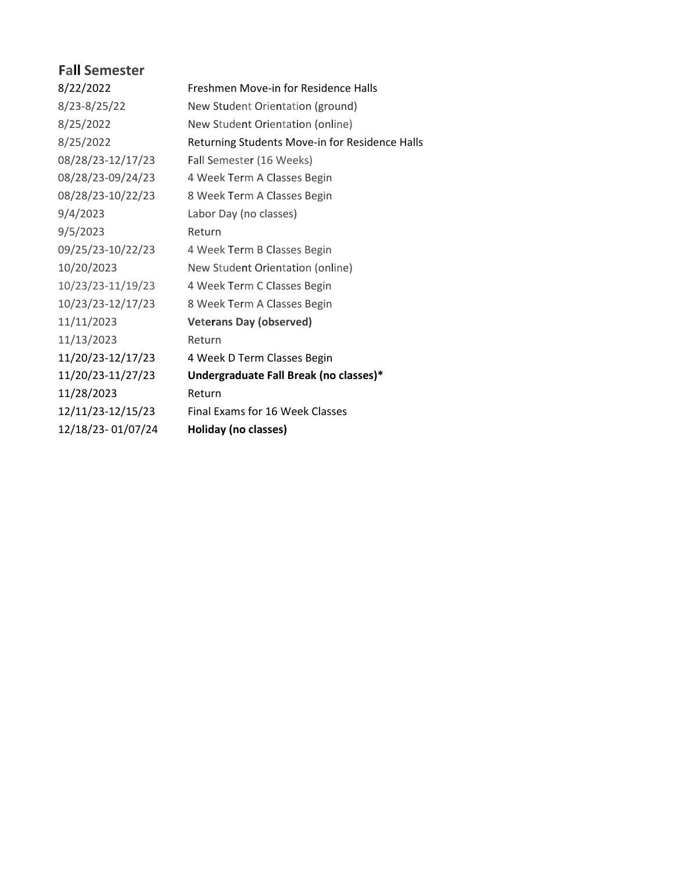| 8/22/2022         | Freshmen Move-in for Residence Halls           |
|-------------------|------------------------------------------------|
| 8/23-8/25/22      | New Student Orientation (ground)               |
| 8/25/2022         | New Student Orientation (online)               |
| 8/25/2022         | Returning Students Move-in for Residence Halls |
| 08/28/23-12/17/23 | Fall Semester (16 Weeks)                       |
| 08/28/23-09/24/23 | 4 Week Term A Classes Begin                    |
| 08/28/23-10/22/23 | 8 Week Term A Classes Begin                    |
| 9/4/2023          | Labor Day (no classes)                         |
| 9/5/2023          | Return                                         |
| 09/25/23-10/22/23 | 4 Week Term B Classes Begin                    |
| 10/20/2023        | New Student Orientation (online)               |
| 10/23/23-11/19/23 | 4 Week Term C Classes Begin                    |
| 10/23/23-12/17/23 | 8 Week Term A Classes Begin                    |
| 11/11/2023        | <b>Veterans Day (observed)</b>                 |
| 11/13/2023        | Return                                         |
| 11/20/23-12/17/23 | 4 Week D Term Classes Begin                    |
| 11/20/23-11/27/23 | Undergraduate Fall Break (no classes)*         |
| 11/28/2023        | Return                                         |
| 12/11/23-12/15/23 | Final Exams for 16 Week Classes                |
| 12/18/23-01/07/24 | Holiday (no classes)                           |
|                   |                                                |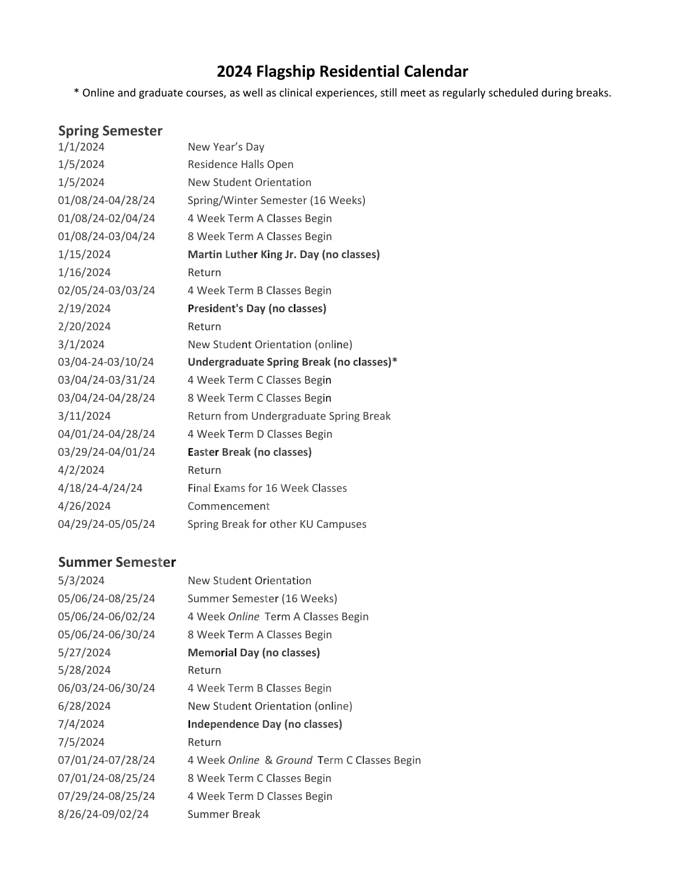\* Online and graduate courses, as well as clinical experiences, still meet as regularly scheduled during breaks.

# **Spring Semester**

| 1/1/2024          | New Year's Day                           |
|-------------------|------------------------------------------|
| 1/5/2024          | Residence Halls Open                     |
| 1/5/2024          | <b>New Student Orientation</b>           |
| 01/08/24-04/28/24 | Spring/Winter Semester (16 Weeks)        |
| 01/08/24-02/04/24 | 4 Week Term A Classes Begin              |
| 01/08/24-03/04/24 | 8 Week Term A Classes Begin              |
| 1/15/2024         | Martin Luther King Jr. Day (no classes)  |
| 1/16/2024         | Return                                   |
| 02/05/24-03/03/24 | 4 Week Term B Classes Begin              |
| 2/19/2024         | <b>President's Day (no classes)</b>      |
| 2/20/2024         | Return                                   |
| 3/1/2024          | New Student Orientation (online)         |
| 03/04-24-03/10/24 | Undergraduate Spring Break (no classes)* |
| 03/04/24-03/31/24 | 4 Week Term C Classes Begin              |
| 03/04/24-04/28/24 | 8 Week Term C Classes Begin              |
| 3/11/2024         | Return from Undergraduate Spring Break   |
| 04/01/24-04/28/24 | 4 Week Term D Classes Begin              |
| 03/29/24-04/01/24 | Easter Break (no classes)                |
| 4/2/2024          | Return                                   |
| 4/18/24-4/24/24   | Final Exams for 16 Week Classes          |
| 4/26/2024         | Commencement                             |
| 04/29/24-05/05/24 | Spring Break for other KU Campuses       |

### **Summer Semester**

| New Student Orientation                     |
|---------------------------------------------|
| Summer Semester (16 Weeks)                  |
| 4 Week Online Term A Classes Begin          |
| 8 Week Term A Classes Begin                 |
| <b>Memorial Day (no classes)</b>            |
| Return                                      |
| 4 Week Term B Classes Begin                 |
| New Student Orientation (online)            |
| Independence Day (no classes)               |
| Return                                      |
| 4 Week Online & Ground Term C Classes Begin |
| 8 Week Term C Classes Begin                 |
| 4 Week Term D Classes Begin                 |
| Summer Break                                |
|                                             |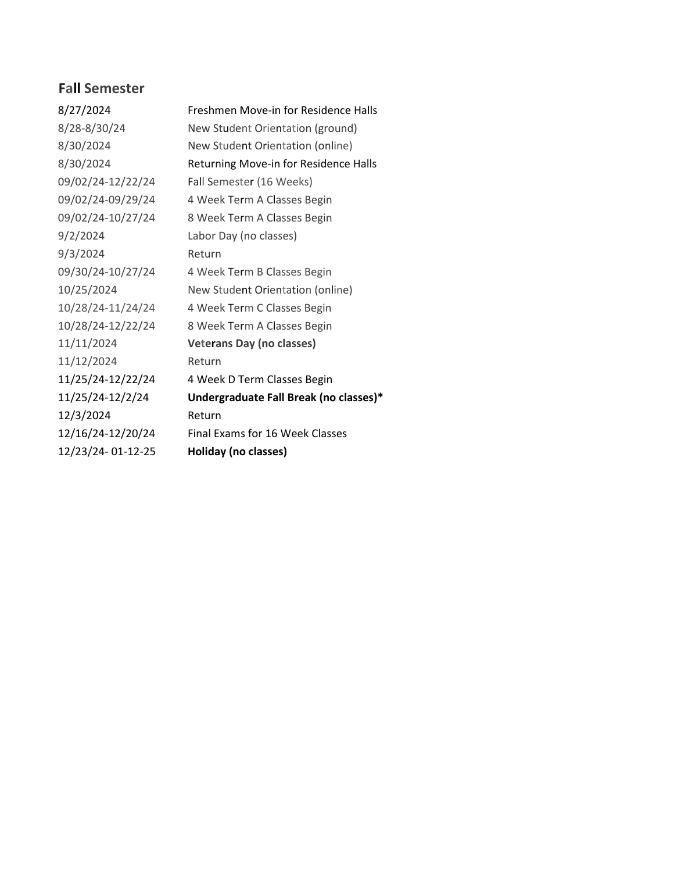| 8/27/2024         | Freshmen Move-in for Residence Halls   |
|-------------------|----------------------------------------|
| 8/28-8/30/24      | New Student Orientation (ground)       |
| 8/30/2024         | New Student Orientation (online)       |
| 8/30/2024         | Returning Move-in for Residence Halls  |
| 09/02/24-12/22/24 | Fall Semester (16 Weeks)               |
| 09/02/24-09/29/24 | 4 Week Term A Classes Begin            |
| 09/02/24-10/27/24 | 8 Week Term A Classes Begin            |
| 9/2/2024          | Labor Day (no classes)                 |
| 9/3/2024          | Return                                 |
| 09/30/24-10/27/24 | 4 Week Term B Classes Begin            |
| 10/25/2024        | New Student Orientation (online)       |
| 10/28/24-11/24/24 | 4 Week Term C Classes Begin            |
| 10/28/24-12/22/24 | 8 Week Term A Classes Begin            |
| 11/11/2024        | <b>Veterans Day (no classes)</b>       |
| 11/12/2024        | Return                                 |
| 11/25/24-12/22/24 | 4 Week D Term Classes Begin            |
| 11/25/24-12/2/24  | Undergraduate Fall Break (no classes)* |
| 12/3/2024         | Return                                 |
| 12/16/24-12/20/24 | Final Exams for 16 Week Classes        |
| 12/23/24-01-12-25 | Holiday (no classes)                   |
|                   |                                        |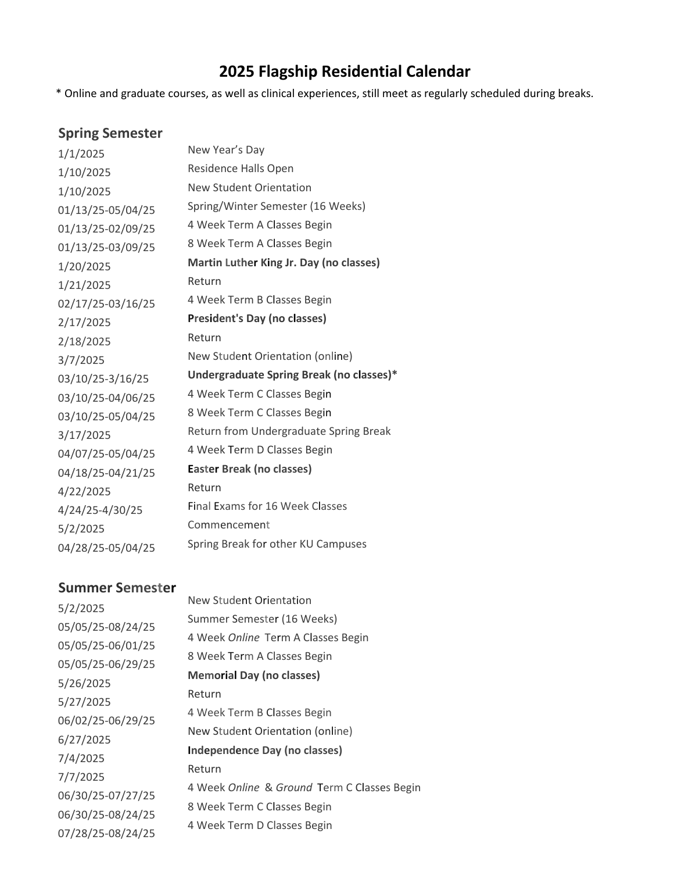\* Online and graduate courses, as well as clinical experiences, still meet as regularly scheduled during breaks.

#### **Spring Semester**

| 1/1/2025          | New Year's Day                           |
|-------------------|------------------------------------------|
| 1/10/2025         | Residence Halls Open                     |
| 1/10/2025         | <b>New Student Orientation</b>           |
| 01/13/25-05/04/25 | Spring/Winter Semester (16 Weeks)        |
| 01/13/25-02/09/25 | 4 Week Term A Classes Begin              |
| 01/13/25-03/09/25 | 8 Week Term A Classes Begin              |
| 1/20/2025         | Martin Luther King Jr. Day (no classes)  |
| 1/21/2025         | Return                                   |
| 02/17/25-03/16/25 | 4 Week Term B Classes Begin              |
| 2/17/2025         | <b>President's Day (no classes)</b>      |
| 2/18/2025         | Return                                   |
| 3/7/2025          | New Student Orientation (online)         |
| 03/10/25-3/16/25  | Undergraduate Spring Break (no classes)* |
| 03/10/25-04/06/25 | 4 Week Term C Classes Begin              |
| 03/10/25-05/04/25 | 8 Week Term C Classes Begin              |
| 3/17/2025         | Return from Undergraduate Spring Break   |
| 04/07/25-05/04/25 | 4 Week Term D Classes Begin              |
| 04/18/25-04/21/25 | Easter Break (no classes)                |
| 4/22/2025         | Return                                   |
| 4/24/25-4/30/25   | <b>Final Exams for 16 Week Classes</b>   |
| 5/2/2025          | Commencement                             |
| 04/28/25-05/04/25 | Spring Break for other KU Campuses       |

#### **Summer Semester**

5/2/2025 05/05/25-08/24/25 05/05/25-06/01/25 05/05/25-06/29/25 5/26/2025 5/27/2025 06/02/25-06/29/25 6/27/2025 7/4/2025 7/7/2025 06/30/25-07/27/25 06/30/25-08/24/25 07/28/25-08/24/25

New Student Orientation Summer Semester (16 Weeks) 4 Week *Online* Term A Classes Begin 8 Week Term A Classes Begin **Memorial Day (no classes)** Return 4 Week Term B Classes Begin New Student Orientation (online) **Independence Day (no classes)** Return 4 Week *Online* & *Ground* Term C Classes Begin 8 Week Term C Classes Begin 4 Week Term D Classes Begin